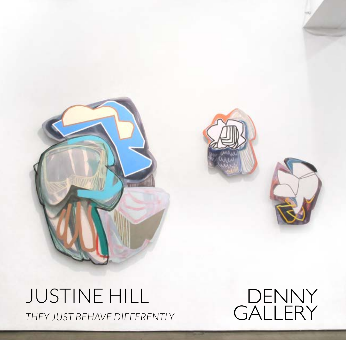



## JUSTINE HILL *THEY JUST BEHAVE DIFFERENTLY*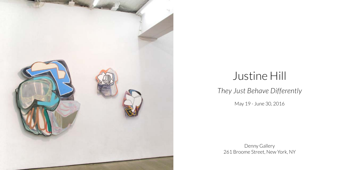

# Justine Hill

### *They Just Behave Differently*

May 19 - June 30, 2016

Denny Gallery 261 Broome Street, New York, NY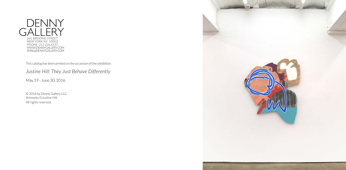

This catalog has been printed on the occassion of the exhibition

*Justine Hill: They Just Behave Differently*

May 19 - June 30, 2016

© 2016 by Denny Gallery LLC Artworks ©Justine Hill All rights reserved.

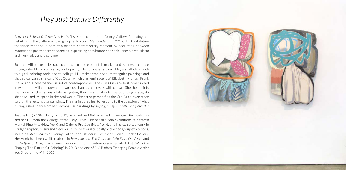### *They Just Behave Differently*

*They Just Behave Differently* is Hill's first solo exhibition at Denny Gallery, following her debut with the gallery in the group exhibition, *Metamodern,* in 2015. That exhibition theorized that she is part of a distinct contemporary moment by oscillating between modern and postmodern tendencies- expressing both humor and seriousness, enthusiasm and irony, play and discipline.

Justine Hill makes abstract paintings using elemental marks and shapes that are distinguished by color, value, and opacity. Her process is to add layers, alluding both to digital painting tools and to collage. Hill makes traditional rectangular paintings and shaped canvases she calls "Cut Outs," which are reminiscent of Elizabeth Murray, Frank Stella, and a heterogeneous set of contemporaries. The Cut Outs are first constructed in wood that Hill cuts down into various shapes and covers with canvas. She then paints the forms on the canvas while navigating their relationship to the bounding shape, its shadows, and its space in the real world. The artist personifies the Cut Outs, even more so than the rectangular paintings. Their animus led her to respond to the question of what distinguishes them from her rectangular paintings by saying, *"They just behave differently."*

Justine Hill (b. 1985, Tarrytown, NY) received her MFA from the University of Pennsylvania and her BA from the College of the Holy Cross. She has had solo exhibitions at Kathryn Markel Fine Arts (New York) and Galerie Protégé (New York), and has exhibited work in Bridgehampton, Miami and New York City in several critically acclaimed group exhibitions, including *Metamodern* at Denny Gallery and *Immediate Female* at Judith Charles Gallery. Her work has been written about in *Hyperallergic, The Observer, Arte Fuse, On Verge,* and *the Huffington Post*, which named her one of "Four Contemporary Female Artists Who Are Shaping The Future Of Painting" in 2013 and one of "10 Badass Emerging Female Artist You Should Know" in 2015.

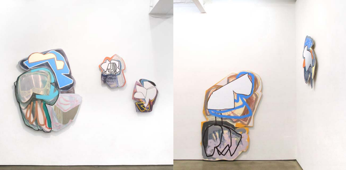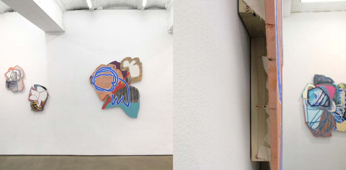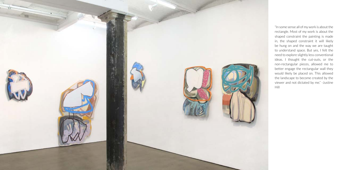

"In some sense all of my work is about the rectangle. Most of my work is about the shaped constraint the painting is made in, the shaped constraint it will likely be hung on and the way we are taught to understand space. But yes, I felt the need to explore slightly less conventional ideas. I thought the cut-outs, or the non-rectangular pieces, allowed me to better engage the rectangular wall they would likely be placed on. This allowed the landscape to become created by the viewer and not dictated by me." -Justine Hill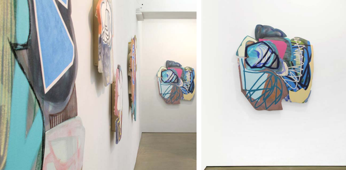

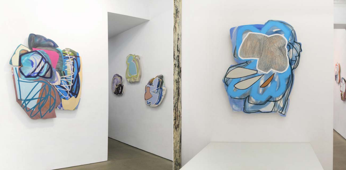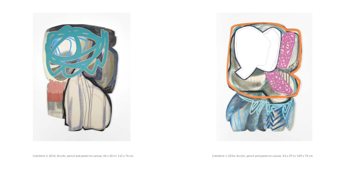

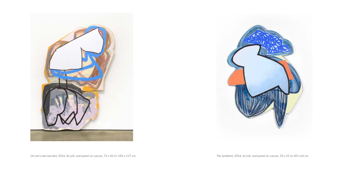

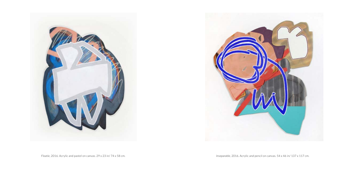

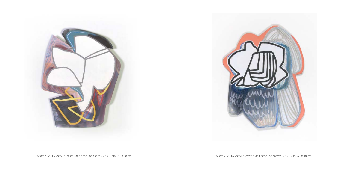

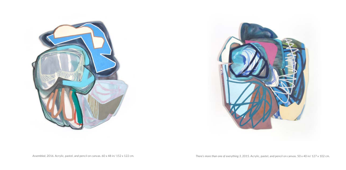

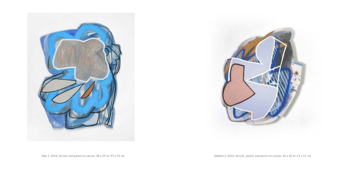

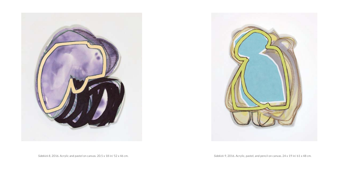

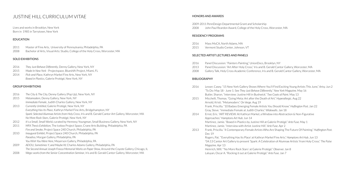### JUSTINE HILL CURRICULUM VITAE HONORS AND AWARDS

Lives and works in Brooklyn, New York Born in 1985 in Tarrytown, New York

#### EDUCATION

- 2011 Master of Fine Arts, University of Pennsylvania, Philadelphia, PA
- 2008 Bachelor of Arts, Visual Arts: Studio, College of the Holy Cross, Worcester, MA

#### SOLO EXHIBITIONS

- 2016 *They Just Behave Differently*, Denny Gallery, New York, NY
- 2015 *Made In New York* Projectspace, Blueshift Project, Miami, FL
- 2014 *Pick-and-Place*, Kathryn Markel Fine Arts, New York, NY *Boxed in Plastics,* Galerie Protégé, New York, NY

#### GROUP EXHIBITIONS

- 2016 *The City & The City,* Denny Gallery (Pop Up), New York, NY
- 2015 *Metamodern*, Denny Gallery, New York, NY *Immediate Female*, Judith Charles Gallery, New York, NY
- 2013 *Currently Untitled*, Galerie Protégé, New York, NY *Everything Has Its Place*, Kathryn Markel Fine Arts, Bridgehampton, NY *Spark: Selected Alumnae Artists from Holy Cross*, Iris and B. Gerald Cantor Art Gallery, Worcester, MA *No More Rock-Stars*, Galerie Protégé, New York, NY
- 2012 *It's a Small, Small World*, curated by Hennesy Youngman, Small Business Gallery, New York, NY
- 2011 *MFA Thesis Exhibition*, The Icebox Project Space, Crane Arts Building, Philadelphia, PA *Fire and Smoke*, Project Space 240 Church, Philadelphia, PA
- 2010 *Inaugural Exhibit*, Project Space 240 Church, Philadelphia, PA *Paradiso*, Morgan Gallery, Philadelphia, PA *You Wish You Were Here*, Meyerson Gallery, Philadelphia, PA
- 2009 *AEIOU, Sometimes Y, and Maybe W,* Charles Adams Gallery, Philadelphia, PA *The Second Annual Joseph Frasca Memorial Works on Paper Show,* Around the Coyote Gallery, Chicago, IL
- 2008 *Wego: works from the Senior Concentration Seminar*, Iris and B. Gerald Cantor Gallery, Worcester, MA

2009-2011 PennDesign Departmental Grant and Scholarship

2008 John Paul Reardon Award, College of the Holy Cross, Worcester, MA

#### RESIDENCY PROGRAMS

- 2016 Mass MoCA, North Adams, MA
- 2015 Vermont Studio Center, Johnson, VT

#### SELECTED ARTIST LECTURES AND PANELS

- 2016 Panel Discussion: "Painters Painting," UnionDocs, Brooklyn, NY
- 2013 Panel Discussion: "Art After Holy Cross," Iris and B. Gerald Cantor Gallery, Worcester, MA
- 2008 Gallery Talk, Holy Cross Academic Conference, Iris and B. Gerald Cantor Gallery, Worcester, MA

#### BIBLIOGRAPHY

| 2016 | Lesser, Casey. "15 New York Gallery Shows Where You'll Find Exciting Young Artists This June," Artsy. Jun 2 |
|------|-------------------------------------------------------------------------------------------------------------|
|      | "To Do: May 18 - June 1: See They Just Behave Differently," New York Magazine. May 16                       |
|      | Butler, Sharon. "Interview: Justine Hill in Bushwick." Two Coats of Paint. May 13                           |
| 2015 | Micchelli, Thomas. "Going Meta: Art after the Death of Art." Hyperallergic. Aug 22                          |
|      | Arnold, Kristi. "Metamodern." On Verge. Aug 19                                                              |
|      | Frank, Priscilla. "10 Badass Emerging Female Artists You Should Know." Huffington Post. Jan 22              |
|      | Gray, Steve. "Immediate Female at Judith Charles." Widewalls. Jan 18                                        |
| 2014 | Ernst, Eric. "ART REVIEW: At Kathryn Markel, a Window into Abstraction & Non-Figurative                     |
|      | Approaches." Hamptons Art Hub. Jun 14                                                                       |
|      | Martinez, Jamie. "Boxed in Plastics by Justine Hill at Galerie Protégé." Arte Fuse. May 1                   |
|      | Martinez, Jamie. "Interview with Artist Justine Hill." Arte Fuse. Apr 2                                     |
| 2013 | Frank, Priscilla. "4 Contemporary Female Artists Who Are Shaping The Future Of Painting." Huffington Post.  |
|      | Dec 19                                                                                                      |
|      | Rogers, Pat. "Everything Has Its Place' at Kathryn Markel Fine Arts." Hamptons Art Hub. Jun 13              |
|      | "04.13 Cantor Art Gallery to present 'Spark: A Celebration of Alumnae Artists' from Holy Cross." The Pulse  |
|      | Magazine. Apr 13                                                                                            |
|      | Heinrich, Will. "No More Rock Stars' at Galerie Protégé." Observer. Jan 8                                   |
|      | Laluyan, Oscar A. "Rocking it out at Galerie Protégé." Arte Fuse. Jan 7                                     |